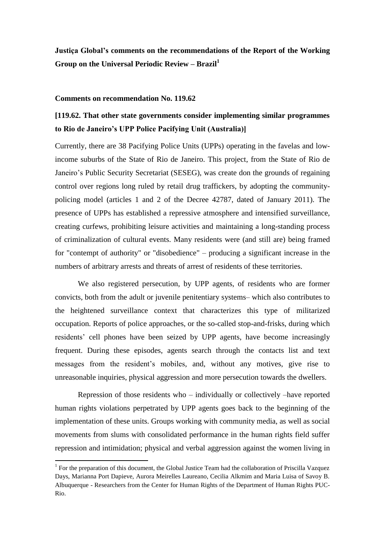**Justiça Global's comments on the recommendations of the Report of the Working Group on the Universal Periodic Review – Brazil<sup>1</sup>**

#### **Comments on recommendation No. 119.62**

# **[119.62. That other state governments consider implementing similar programmes to Rio de Janeiro's UPP Police Pacifying Unit (Australia)]**

Currently, there are 38 Pacifying Police Units (UPPs) operating in the favelas and lowincome suburbs of the State of Rio de Janeiro. This project, from the State of Rio de Janeiro's Public Security Secretariat (SESEG), was create don the grounds of regaining control over regions long ruled by retail drug traffickers, by adopting the communitypolicing model (articles 1 and 2 of the Decree 42787, dated of January 2011). The presence of UPPs has established a repressive atmosphere and intensified surveillance, creating curfews, prohibiting leisure activities and maintaining a long-standing process of criminalization of cultural events. Many residents were (and still are) being framed for "contempt of authority" or "disobedience" – producing a significant increase in the numbers of arbitrary arrests and threats of arrest of residents of these territories.

We also registered persecution, by UPP agents, of residents who are former convicts, both from the adult or juvenile penitentiary systems– which also contributes to the heightened surveillance context that characterizes this type of militarized occupation. Reports of police approaches, or the so-called stop-and-frisks, during which residents' cell phones have been seized by UPP agents, have become increasingly frequent. During these episodes, agents search through the contacts list and text messages from the resident's mobiles, and, without any motives, give rise to unreasonable inquiries, physical aggression and more persecution towards the dwellers.

Repression of those residents who – individually or collectively –have reported human rights violations perpetrated by UPP agents goes back to the beginning of the implementation of these units. Groups working with community media, as well as social movements from slums with consolidated performance in the human rights field suffer repression and intimidation; physical and verbal aggression against the women living in

 1 For the preparation of this document, the Global Justice Team had the collaboration of Priscilla Vazquez Days, Marianna Port Dapieve, Aurora Meirelles Laureano, Cecilia Alkmim and Maria Luisa of Savoy B. Albuquerque - Researchers from the Center for Human Rights of the Department of Human Rights PUC-Rio.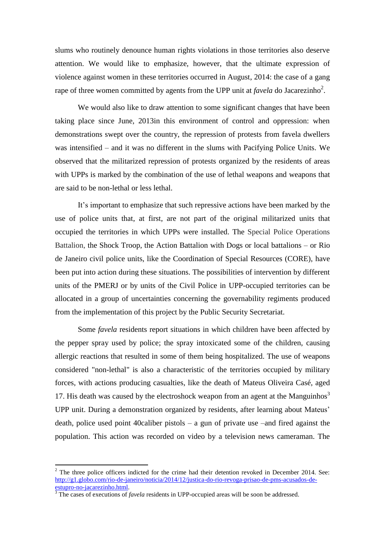slums who routinely denounce human rights violations in those territories also deserve attention. We would like to emphasize, however, that the ultimate expression of violence against women in these territories occurred in August, 2014: the case of a gang rape of three women committed by agents from the UPP unit at  $favela$  do Jacarezinho<sup>2</sup>.

We would also like to draw attention to some significant changes that have been taking place since June, 2013in this environment of control and oppression: when demonstrations swept over the country, the repression of protests from favela dwellers was intensified – and it was no different in the slums with Pacifying Police Units. We observed that the militarized repression of protests organized by the residents of areas with UPPs is marked by the combination of the use of lethal weapons and weapons that are said to be non-lethal or less lethal.

It's important to emphasize that such repressive actions have been marked by the use of police units that, at first, are not part of the original militarized units that occupied the territories in which UPPs were installed. The Special Police Operations Battalion, the Shock Troop, the Action Battalion with Dogs or local battalions – or Rio de Janeiro civil police units, like the Coordination of Special Resources (CORE), have been put into action during these situations. The possibilities of intervention by different units of the PMERJ or by units of the Civil Police in UPP-occupied territories can be allocated in a group of uncertainties concerning the governability regiments produced from the implementation of this project by the Public Security Secretariat.

Some *favela* residents report situations in which children have been affected by the pepper spray used by police; the spray intoxicated some of the children, causing allergic reactions that resulted in some of them being hospitalized. The use of weapons considered "non-lethal" is also a characteristic of the territories occupied by military forces, with actions producing casualties, like the death of Mateus Oliveira Casé, aged 17. His death was caused by the electroshock weapon from an agent at the Manguinhos<sup>3</sup> UPP unit. During a demonstration organized by residents, after learning about Mateus' death, police used point 40caliber pistols – a gun of private use –and fired against the population. This action was recorded on video by a television news cameraman. The

 $2$  The three police officers indicted for the crime had their detention revoked in December 2014. See: [http://g1.globo.com/rio-de-janeiro/noticia/2014/12/justica-do-rio-revoga-prisao-de-pms-acusados-de](http://g1.globo.com/rio-de-janeiro/noticia/2014/12/justica-do-rio-revoga-prisao-de-pms-acusados-de-estupro-no-jacarezinho.html)[estupro-no-jacarezinho.html.](http://g1.globo.com/rio-de-janeiro/noticia/2014/12/justica-do-rio-revoga-prisao-de-pms-acusados-de-estupro-no-jacarezinho.html)

<sup>&</sup>lt;sup>3</sup> The cases of executions of *favela* residents in UPP-occupied areas will be soon be addressed.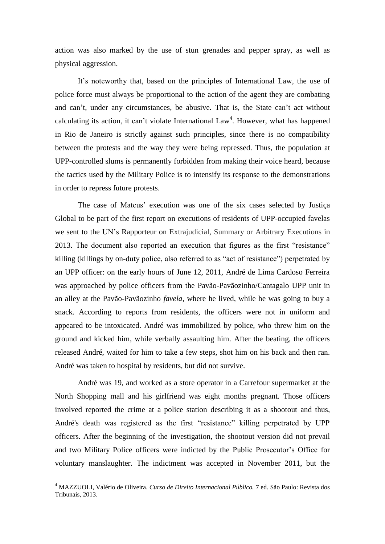action was also marked by the use of stun grenades and pepper spray, as well as physical aggression.

It's noteworthy that, based on the principles of International Law, the use of police force must always be proportional to the action of the agent they are combating and can't, under any circumstances, be abusive. That is, the State can't act without calculating its action, it can't violate International  $Law<sup>4</sup>$ . However, what has happened in Rio de Janeiro is strictly against such principles, since there is no compatibility between the protests and the way they were being repressed. Thus, the population at UPP-controlled slums is permanently forbidden from making their voice heard, because the tactics used by the Military Police is to intensify its response to the demonstrations in order to repress future protests.

The case of Mateus' execution was one of the six cases selected by Justiça Global to be part of the first report on executions of residents of UPP-occupied favelas we sent to the UN's Rapporteur on Extrajudicial, Summary or Arbitrary Executions in 2013. The document also reported an execution that figures as the first "resistance" killing (killings by on-duty police, also referred to as "act of resistance") perpetrated by an UPP officer: on the early hours of June 12, 2011, André de Lima Cardoso Ferreira was approached by police officers from the Pavão-Pavãozinho/Cantagalo UPP unit in an alley at the Pavão-Pavãozinho *favela,* where he lived, while he was going to buy a snack. According to reports from residents, the officers were not in uniform and appeared to be intoxicated. André was immobilized by police, who threw him on the ground and kicked him, while verbally assaulting him. After the beating, the officers released André, waited for him to take a few steps, shot him on his back and then ran. André was taken to hospital by residents, but did not survive.

André was 19, and worked as a store operator in a Carrefour supermarket at the North Shopping mall and his girlfriend was eight months pregnant. Those officers involved reported the crime at a police station describing it as a shootout and thus, André's death was registered as the first "resistance" killing perpetrated by UPP officers. After the beginning of the investigation, the shootout version did not prevail and two Military Police officers were indicted by the Public Prosecutor's Office for voluntary manslaughter. The indictment was accepted in November 2011, but the

1

<sup>4</sup> MAZZUOLI, Valério de Oliveira. *Curso de Direito Internacional Público.* 7 ed. São Paulo: Revista dos Tribunais, 2013.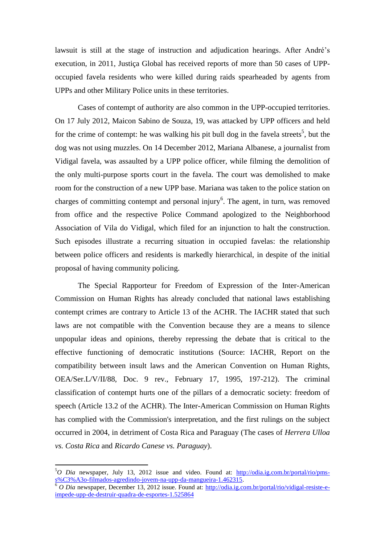lawsuit is still at the stage of instruction and adjudication hearings. After André's execution, in 2011, Justiça Global has received reports of more than 50 cases of UPPoccupied favela residents who were killed during raids spearheaded by agents from UPPs and other Military Police units in these territories.

Cases of contempt of authority are also common in the UPP-occupied territories. On 17 July 2012, Maicon Sabino de Souza, 19, was attacked by UPP officers and held for the crime of contempt: he was walking his pit bull dog in the favela streets<sup>5</sup>, but the dog was not using muzzles. On 14 December 2012, Mariana Albanese, a journalist from Vidigal favela, was assaulted by a UPP police officer, while filming the demolition of the only multi-purpose sports court in the favela. The court was demolished to make room for the construction of a new UPP base. Mariana was taken to the police station on charges of committing contempt and personal injury<sup>6</sup>. The agent, in turn, was removed from office and the respective Police Command apologized to the Neighborhood Association of Vila do Vidigal, which filed for an injunction to halt the construction. Such episodes illustrate a recurring situation in occupied favelas: the relationship between police officers and residents is markedly hierarchical, in despite of the initial proposal of having community policing.

The Special Rapporteur for Freedom of Expression of the Inter-American Commission on Human Rights has already concluded that national laws establishing contempt crimes are contrary to Article 13 of the ACHR. The IACHR stated that such laws are not compatible with the Convention because they are a means to silence unpopular ideas and opinions, thereby repressing the debate that is critical to the effective functioning of democratic institutions (Source: IACHR, Report on the compatibility between insult laws and the American Convention on Human Rights, OEA/Ser.L/V/II/88, Doc. 9 rev., February 17, 1995, 197-212). The criminal classification of contempt hurts one of the pillars of a democratic society: freedom of speech (Article 13.2 of the ACHR). The Inter-American Commission on Human Rights has complied with the Commission's interpretation, and the first rulings on the subject occurred in 2004, in detriment of Costa Rica and Paraguay (The cases of *Herrera Ulloa vs. Costa Rica* and *Ricardo Canese vs. Paraguay*).

<sup>5</sup>*O Dia* newspaper*,* July 13, 2012 issue and video. Found at: [http://odia.ig.com.br/portal/rio/pms](http://odia.ig.com.br/portal/rio/pms-s%C3%A3o-filmados-agredindo-jovem-na-upp-da-mangueira-1.462315)[s%C3%A3o-filmados-agredindo-jovem-na-upp-da-mangueira-1.462315.](http://odia.ig.com.br/portal/rio/pms-s%C3%A3o-filmados-agredindo-jovem-na-upp-da-mangueira-1.462315)

<sup>6</sup> *O Dia* newspaper, December 13, 2012 issue. Found at: [http://odia.ig.com.br/portal/rio/vidigal-resiste-e](http://odia.ig.com.br/portal/rio/vidigal-resiste-e-impede-upp-de-destruir-quadra-de-esportes-1.525864)[impede-upp-de-destruir-quadra-de-esportes-1.525864](http://odia.ig.com.br/portal/rio/vidigal-resiste-e-impede-upp-de-destruir-quadra-de-esportes-1.525864)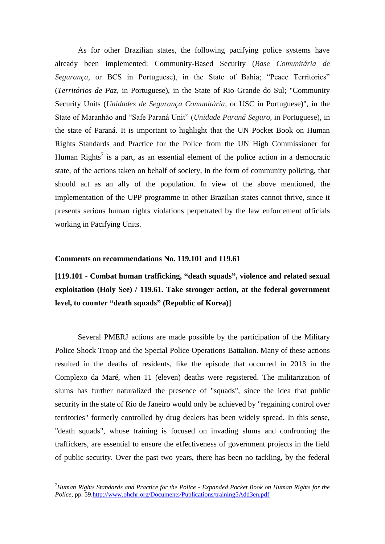As for other Brazilian states, the following pacifying police systems have already been implemented: Community-Based Security (*Base Comunitária de Segurança*, or BCS in Portuguese), in the State of Bahia; "Peace Territories" (*Territórios de Paz*, in Portuguese), in the State of Rio Grande do Sul; "Community Security Units (*Unidades de Segurança Comunitária*, or USC in Portuguese)", in the State of Maranhão and "Safe Paraná Unit" (*Unidade Paraná Seguro*, in Portuguese), in the state of Paraná. It is important to highlight that the UN Pocket Book on Human Rights Standards and Practice for the Police from the UN High Commissioner for Human Rights<sup>7</sup> is a part, as an essential element of the police action in a democratic state, of the actions taken on behalf of society, in the form of community policing, that should act as an ally of the population. In view of the above mentioned, the implementation of the UPP programme in other Brazilian states cannot thrive, since it presents serious human rights violations perpetrated by the law enforcement officials working in Pacifying Units.

#### **Comments on recommendations No. 119.101 and 119.61**

1

**[119.101 - Combat human trafficking, "death squads", violence and related sexual exploitation (Holy See) / 119.61. Take stronger action, at the federal government level, to counter "death squads" (Republic of Korea)]**

Several PMERJ actions are made possible by the participation of the Military Police Shock Troop and the Special Police Operations Battalion. Many of these actions resulted in the deaths of residents, like the episode that occurred in 2013 in the Complexo da Maré, when 11 (eleven) deaths were registered. The militarization of slums has further naturalized the presence of "squads", since the idea that public security in the state of Rio de Janeiro would only be achieved by "regaining control over territories" formerly controlled by drug dealers has been widely spread. In this sense, "death squads", whose training is focused on invading slums and confronting the traffickers, are essential to ensure the effectiveness of government projects in the field of public security. Over the past two years, there has been no tackling, by the federal

<sup>7</sup>*Human Rights Standards and Practice for the Police - Expanded Pocket Book on Human Rights for the Police*, pp. 59[.http://www.ohchr.org/Documents/Publications/training5Add3en.pdf](http://www.ohchr.org/Documents/Publications/training5Add3en.pdf)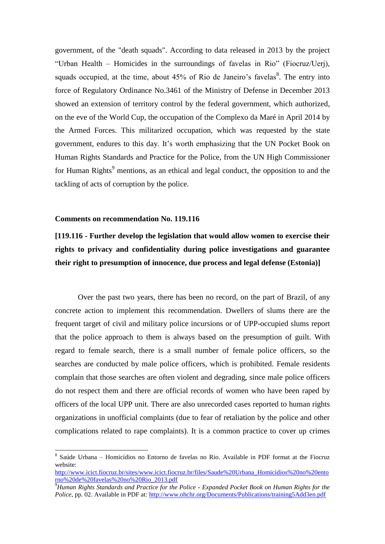government, of the "death squads". According to data released in 2013 by the project "Urban Health – Homicides in the surroundings of favelas in Rio" (Fiocruz/Uerj), squads occupied, at the time, about  $45\%$  of Rio de Janeiro's favelas<sup>8</sup>. The entry into force of Regulatory Ordinance No.3461 of the Ministry of Defense in December 2013 showed an extension of territory control by the federal government, which authorized, on the eve of the World Cup, the occupation of the Complexo da Maré in April 2014 by the Armed Forces. This militarized occupation, which was requested by the state government, endures to this day. It's worth emphasizing that the UN Pocket Book on Human Rights Standards and Practice for the Police, from the UN High Commissioner for Human Rights<sup>9</sup> mentions, as an ethical and legal conduct, the opposition to and the tackling of acts of corruption by the police.

# **Comments on recommendation No. 119.116**

**.** 

# **[119.116 - Further develop the legislation that would allow women to exercise their rights to privacy and confidentiality during police investigations and guarantee their right to presumption of innocence, due process and legal defense (Estonia)]**

Over the past two years, there has been no record, on the part of Brazil, of any concrete action to implement this recommendation. Dwellers of slums there are the frequent target of civil and military police incursions or of UPP-occupied slums report that the police approach to them is always based on the presumption of guilt. With regard to female search, there is a small number of female police officers, so the searches are conducted by male police officers, which is prohibited. Female residents complain that those searches are often violent and degrading, since male police officers do not respect them and there are official records of women who have been raped by officers of the local UPP unit. There are also unrecorded cases reported to human rights organizations in unofficial complaints (due to fear of retaliation by the police and other complications related to rape complaints). It is a common practice to cover up crimes

<sup>8</sup> Saúde Urbana – Homicídios no Entorno de favelas no Rio. Available in PDF format at the Fiocruz website:

[http://www.icict.fiocruz.br/sites/www.icict.fiocruz.br/files/Saude%20Urbana\\_Homicidios%20no%20ento](http://www.icict.fiocruz.br/sites/www.icict.fiocruz.br/files/Saude%20Urbana_Homicidios%20no%20entorno%20de%20favelas%20no%20Rio_2013.pdf) [rno%20de%20favelas%20no%20Rio\\_2013.pdf](http://www.icict.fiocruz.br/sites/www.icict.fiocruz.br/files/Saude%20Urbana_Homicidios%20no%20entorno%20de%20favelas%20no%20Rio_2013.pdf)

<sup>9</sup>*Human Rights Standards and Practice for the Police - Expanded Pocket Book on Human Rights for the Police*, pp. 02. Available in PDF at:<http://www.ohchr.org/Documents/Publications/training5Add3en.pdf>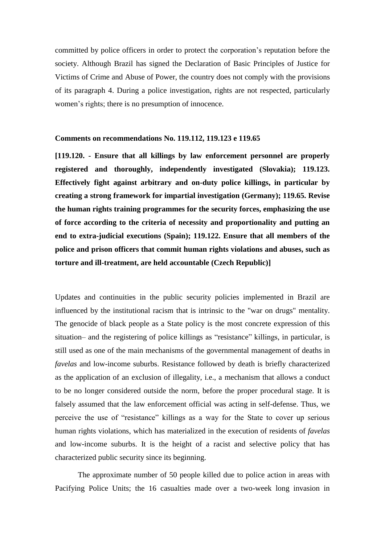committed by police officers in order to protect the corporation's reputation before the society. Although Brazil has signed the Declaration of Basic Principles of Justice for Victims of Crime and Abuse of Power, the country does not comply with the provisions of its paragraph 4. During a police investigation, rights are not respected, particularly women's rights; there is no presumption of innocence.

# **Comments on recommendations No. 119.112, 119.123 e 119.65**

**[119.120. - Ensure that all killings by law enforcement personnel are properly registered and thoroughly, independently investigated (Slovakia); 119.123. Effectively fight against arbitrary and on-duty police killings, in particular by creating a strong framework for impartial investigation (Germany); 119.65. Revise the human rights training programmes for the security forces, emphasizing the use of force according to the criteria of necessity and proportionality and putting an end to extra-judicial executions (Spain); 119.122. Ensure that all members of the police and prison officers that commit human rights violations and abuses, such as torture and ill-treatment, are held accountable (Czech Republic)]**

Updates and continuities in the public security policies implemented in Brazil are influenced by the institutional racism that is intrinsic to the "war on drugs" mentality. The genocide of black people as a State policy is the most concrete expression of this situation– and the registering of police killings as "resistance" killings, in particular, is still used as one of the main mechanisms of the governmental management of deaths in *favelas* and low-income suburbs. Resistance followed by death is briefly characterized as the application of an exclusion of illegality, i.e., a mechanism that allows a conduct to be no longer considered outside the norm, before the proper procedural stage. It is falsely assumed that the law enforcement official was acting in self-defense. Thus, we perceive the use of "resistance" killings as a way for the State to cover up serious human rights violations, which has materialized in the execution of residents of *favelas* and low-income suburbs. It is the height of a racist and selective policy that has characterized public security since its beginning.

The approximate number of 50 people killed due to police action in areas with Pacifying Police Units; the 16 casualties made over a two-week long invasion in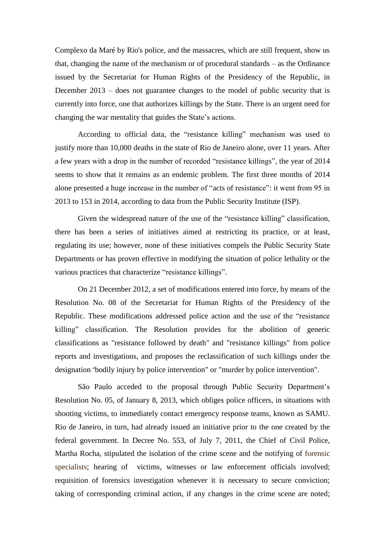Complexo da Maré by Rio's police, and the massacres, which are still frequent, show us that, changing the name of the mechanism or of procedural standards – as the Ordinance issued by the Secretariat for Human Rights of the Presidency of the Republic, in December 2013 – does not guarantee changes to the model of public security that is currently into force, one that authorizes killings by the State. There is an urgent need for changing the war mentality that guides the State's actions.

According to official data, the "resistance killing" mechanism was used to justify more than 10,000 deaths in the state of Rio de Janeiro alone, over 11 years. After a few years with a drop in the number of recorded "resistance killings", the year of 2014 seems to show that it remains as an endemic problem. The first three months of 2014 alone presented a huge increase in the number of "acts of resistance": it went from 95 in 2013 to 153 in 2014, according to data from the Public Security Institute (ISP).

Given the widespread nature of the use of the "resistance killing" classification, there has been a series of initiatives aimed at restricting its practice, or at least, regulating its use; however, none of these initiatives compels the Public Security State Departments or has proven effective in modifying the situation of police lethality or the various practices that characterize "resistance killings".

On 21 December 2012, a set of modifications entered into force, by means of the Resolution No. 08 of the Secretariat for Human Rights of the Presidency of the Republic. These modifications addressed police action and the use of the "resistance killing" classification. The Resolution provides for the abolition of generic classifications as "resistance followed by death" and "resistance killings" from police reports and investigations, and proposes the reclassification of such killings under the designation "bodily injury by police intervention" or "murder by police intervention".

São Paulo acceded to the proposal through Public Security Department's Resolution No. 05, of January 8, 2013, which obliges police officers, in situations with shooting victims, to immediately contact emergency response teams, known as SAMU. Rio de Janeiro, in turn, had already issued an initiative prior to the one created by the federal government. In Decree No. 553, of July 7, 2011, the Chief of Civil Police, Martha Rocha, stipulated the isolation of the crime scene and the notifying of forensic specialists; hearing of victims, witnesses or law enforcement officials involved; requisition of forensics investigation whenever it is necessary to secure conviction; taking of corresponding criminal action, if any changes in the crime scene are noted;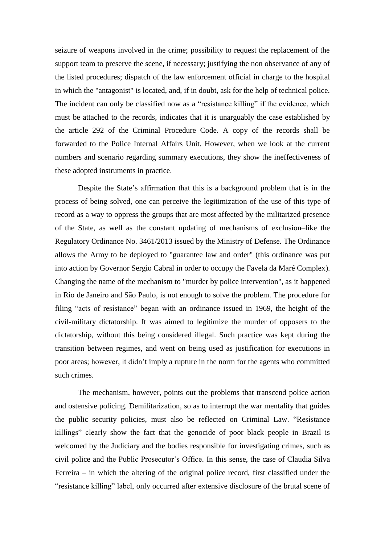seizure of weapons involved in the crime; possibility to request the replacement of the support team to preserve the scene, if necessary; justifying the non observance of any of the listed procedures; dispatch of the law enforcement official in charge to the hospital in which the "antagonist" is located, and, if in doubt, ask for the help of technical police. The incident can only be classified now as a "resistance killing" if the evidence, which must be attached to the records, indicates that it is unarguably the case established by the article 292 of the Criminal Procedure Code. A copy of the records shall be forwarded to the Police Internal Affairs Unit. However, when we look at the current numbers and scenario regarding summary executions, they show the ineffectiveness of these adopted instruments in practice.

Despite the State's affirmation that this is a background problem that is in the process of being solved, one can perceive the legitimization of the use of this type of record as a way to oppress the groups that are most affected by the militarized presence of the State, as well as the constant updating of mechanisms of exclusion–like the Regulatory Ordinance No. 3461/2013 issued by the Ministry of Defense. The Ordinance allows the Army to be deployed to "guarantee law and order" (this ordinance was put into action by Governor Sergio Cabral in order to occupy the Favela da Maré Complex). Changing the name of the mechanism to "murder by police intervention", as it happened in Rio de Janeiro and São Paulo, is not enough to solve the problem. The procedure for filing "acts of resistance" began with an ordinance issued in 1969, the height of the civil-military dictatorship. It was aimed to legitimize the murder of opposers to the dictatorship, without this being considered illegal. Such practice was kept during the transition between regimes, and went on being used as justification for executions in poor areas; however, it didn't imply a rupture in the norm for the agents who committed such crimes.

The mechanism, however, points out the problems that transcend police action and ostensive policing. Demilitarization, so as to interrupt the war mentality that guides the public security policies, must also be reflected on Criminal Law. "Resistance killings" clearly show the fact that the genocide of poor black people in Brazil is welcomed by the Judiciary and the bodies responsible for investigating crimes, such as civil police and the Public Prosecutor's Office. In this sense, the case of Claudia Silva Ferreira – in which the altering of the original police record, first classified under the "resistance killing" label, only occurred after extensive disclosure of the brutal scene of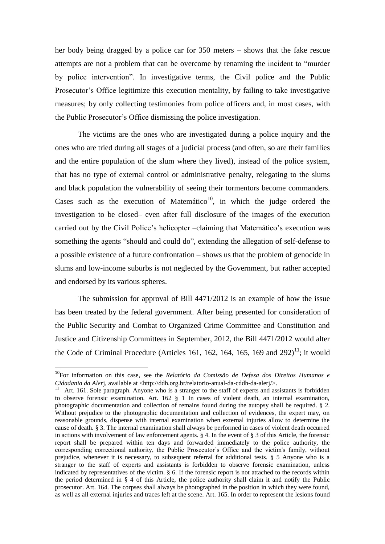her body being dragged by a police car for 350 meters – shows that the fake rescue attempts are not a problem that can be overcome by renaming the incident to "murder by police intervention". In investigative terms, the Civil police and the Public Prosecutor's Office legitimize this execution mentality, by failing to take investigative measures; by only collecting testimonies from police officers and, in most cases, with the Public Prosecutor's Office dismissing the police investigation.

The victims are the ones who are investigated during a police inquiry and the ones who are tried during all stages of a judicial process (and often, so are their families and the entire population of the slum where they lived), instead of the police system, that has no type of external control or administrative penalty, relegating to the slums and black population the vulnerability of seeing their tormentors become commanders. Cases such as the execution of Matemático<sup>10</sup>, in which the judge ordered the investigation to be closed– even after full disclosure of the images of the execution carried out by the Civil Police's helicopter –claiming that Matemático's execution was something the agents "should and could do", extending the allegation of self-defense to a possible existence of a future confrontation – shows us that the problem of genocide in slums and low-income suburbs is not neglected by the Government, but rather accepted and endorsed by its various spheres.

The submission for approval of Bill 4471/2012 is an example of how the issue has been treated by the federal government. After being presented for consideration of the Public Security and Combat to Organized Crime Committee and Constitution and Justice and Citizenship Committees in September, 2012, the Bill 4471/2012 would alter the Code of Criminal Procedure (Articles 161, 162, 164, 165, 169 and  $292)^{11}$ ; it would

<sup>10</sup>For information on this case, see the *Relatório da Comissão de Defesa dos Direitos Humanos e Cidadania da Aler*j, available at <http://ddh.org.br/relatorio-anual-da-cddh-da-alerj/>.<br><sup>11</sup> Art, 161, Sele persoranh, Anyone urbe is a stranger to the steff of experts and as

Art. 161. Sole paragraph. Anyone who is a stranger to the staff of experts and assistants is forbidden to observe forensic examination. Art. 162 § 1 In cases of violent death, an internal examination, photographic documentation and collection of remains found during the autopsy shall be required. § 2. Without prejudice to the photographic documentation and collection of evidences, the expert may, on reasonable grounds, dispense with internal examination when external injuries allow to determine the cause of death. § 3. The internal examination shall always be performed in cases of violent death occurred in actions with involvement of law enforcement agents. § 4. In the event of § 3 of this Article, the forensic report shall be prepared within ten days and forwarded immediately to the police authority, the corresponding correctional authority, the Public Prosecutor's Office and the victim's family, without prejudice, whenever it is necessary, to subsequent referral for additional tests. § 5 Anyone who is a stranger to the staff of experts and assistants is forbidden to observe forensic examination, unless indicated by representatives of the victim. § 6. If the forensic report is not attached to the records within the period determined in § 4 of this Article, the police authority shall claim it and notify the Public prosecutor. Art. 164. The corpses shall always be photographed in the position in which they were found, as well as all external injuries and traces left at the scene. Art. 165. In order to represent the lesions found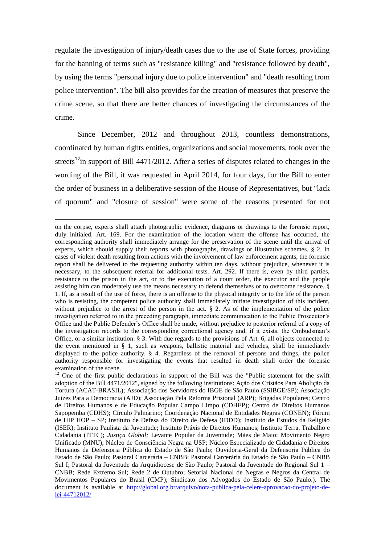regulate the investigation of injury/death cases due to the use of State forces, providing for the banning of terms such as "resistance killing" and "resistance followed by death", by using the terms "personal injury due to police intervention" and "death resulting from police intervention". The bill also provides for the creation of measures that preserve the crime scene, so that there are better chances of investigating the circumstances of the crime.

Since December, 2012 and throughout 2013, countless demonstrations, coordinated by human rights entities, organizations and social movements, took over the streets<sup>12</sup>in support of Bill 4471/2012. After a series of disputes related to changes in the wording of the Bill, it was requested in April 2014, for four days, for the Bill to enter the order of business in a deliberative session of the House of Representatives, but "lack of quorum" and "closure of session" were some of the reasons presented for not

1

on the corpse, experts shall attach photographic evidence, diagrams or drawings to the forensic report, duly initialed. Art. 169. For the examination of the location where the offense has occurred, the corresponding authority shall immediately arrange for the preservation of the scene until the arrival of experts, which should supply their reports with photographs, drawings or illustrative schemes. § 2. In cases of violent death resulting from actions with the involvement of law enforcement agents, the forensic report shall be delivered to the requesting authority within ten days, without prejudice, whenever it is necessary, to the subsequent referral for additional tests. Art. 292. If there is, even by third parties, resistance to the prison in the act, or to the execution of a court order, the executor and the people assisting him can moderately use the means necessary to defend themselves or to overcome resistance. § 1. If, as a result of the use of force, there is an offense to the physical integrity or to the life of the person who is resisting, the competent police authority shall immediately initiate investigation of this incident, without prejudice to the arrest of the person in the act. § 2. As of the implementation of the police investigation referred to in the preceding paragraph, immediate communication to the Public Prosecutor's Office and the Public Defender's Office shall be made, without prejudice to posterior referral of a copy of the investigation records to the corresponding correctional agency and, if it exists, the Ombudsman's Office, or a similar institution. § 3. With due regards to the provisions of Art. 6, all objects connected to the event mentioned in § 1, such as weapons, ballistic material and vehicles, shall be immediately displayed to the police authority. § 4. Regardless of the removal of persons and things, the police authority responsible for investigating the events that resulted in death shall order the forensic examination of the scene.

 $12$  One of the first public declarations in support of the Bill was the "Public statement for the swift adoption of the Bill 4471/2012", signed by the following institutions: Ação dos Cristãos Para Abolição da Tortura (ACAT-BRASIL); Associação dos Servidores do IBGE de São Paulo (SSIBGE/SP); Associação Juízes Para a Democracia (AJD); Associação Pela Reforma Prisional (ARP); Brigadas Populares; Centro de Direitos Humanos e de Educação Popular Campo Limpo (CDHEP); Centro de Direitos Humanos Sapopemba (CDHS); Círculo Palmarino; Coordenação Nacional de Entidades Negras (CONEN); Fórum de HIP HOP – SP; Instituto de Defesa do Direito de Defesa (IDDD); Instituto de Estudos da Religião (ISER); Instituto Paulista da Juventude; Instituto Práxis de Direitos Humanos; Instituto Terra, Trabalho e Cidadania (ITTC); *Justiça Global;* Levante Popular da Juventude; Mães de Maio; Movimento Negro Unificado (MNU); Núcleo de Consciência Negra na USP; Núcleo Especializado de Cidadania e Direitos Humanos da Defensoria Pública do Estado de São Paulo; Ouvidoria-Geral da Defensoria Pública do Estado de São Paulo; Pastoral Carcerária – CNBB; Pastoral Carcerária do Estado de São Paulo – CNBB Sul I; Pastoral da Juventude da Arquidiocese de São Paulo; Pastoral da Juventude do Regional Sul 1 – CNBB; Rede Extremo Sul; Rede 2 de Outubro; Setorial Nacional de Negras e Negros da Central de Movimentos Populares do Brasil (CMP); Sindicato dos Advogados do Estado de São Paulo.). The document is available at [http://global.org.br/arquivo/nota-publica-pela-celere-aprovacao-do-projeto-de](http://global.org.br/arquivo/nota-publica-pela-celere-aprovacao-do-projeto-de-lei-44712012/)[lei-44712012/](http://global.org.br/arquivo/nota-publica-pela-celere-aprovacao-do-projeto-de-lei-44712012/)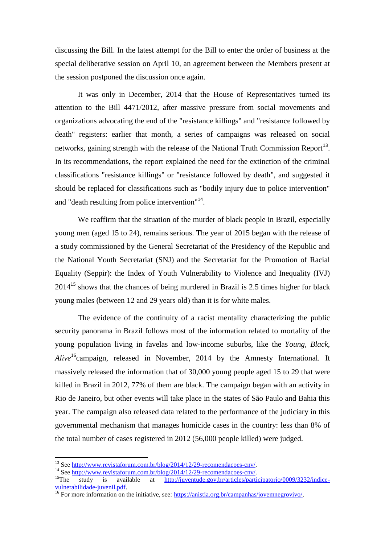discussing the Bill. In the latest attempt for the Bill to enter the order of business at the special deliberative session on April 10, an agreement between the Members present at the session postponed the discussion once again.

It was only in December, 2014 that the House of Representatives turned its attention to the Bill 4471/2012, after massive pressure from social movements and organizations advocating the end of the "resistance killings" and "resistance followed by death" registers: earlier that month, a series of campaigns was released on social networks, gaining strength with the release of the National Truth Commission Report<sup>13</sup>. In its recommendations, the report explained the need for the extinction of the criminal classifications "resistance killings" or "resistance followed by death", and suggested it should be replaced for classifications such as "bodily injury due to police intervention" and "death resulting from police intervention"<sup>14</sup>.

We reaffirm that the situation of the murder of black people in Brazil, especially young men (aged 15 to 24), remains serious. The year of 2015 began with the release of a study commissioned by the General Secretariat of the Presidency of the Republic and the National Youth Secretariat (SNJ) and the Secretariat for the Promotion of Racial Equality (Seppir): the Index of Youth Vulnerability to Violence and Inequality (IVJ)  $2014^{15}$  shows that the chances of being murdered in Brazil is 2.5 times higher for black young males (between 12 and 29 years old) than it is for white males.

The evidence of the continuity of a racist mentality characterizing the public security panorama in Brazil follows most of the information related to mortality of the young population living in favelas and low-income suburbs, like the *Young, Black, Alive*<sup>16</sup>campaign, released in November, 2014 by the Amnesty International. It massively released the information that of 30,000 young people aged 15 to 29 that were killed in Brazil in 2012, 77% of them are black. The campaign began with an activity in Rio de Janeiro, but other events will take place in the states of São Paulo and Bahia this year. The campaign also released data related to the performance of the judiciary in this governmental mechanism that manages homicide cases in the country: less than 8% of the total number of cases registered in 2012 (56,000 people killed) were judged.

<sup>&</sup>lt;sup>13</sup> See [http://www.revistaforum.com.br/blog/2014/12/29-recomendacoes-cnv/.](http://www.revistaforum.com.br/blog/2014/12/29-recomendacoes-cnv/)

<sup>&</sup>lt;sup>14</sup> See <u>http://www.revistaforum.com.br/blog/2014/12/29-recomendacoes-cnv/</u>.<br><sup>15</sup>The study is available at http://juventude.gov.br/articles/parti

<sup>15</sup>The study is available at [http://juventude.gov.br/articles/participatorio/0009/3232/indice](http://juventude.gov.br/articles/participatorio/0009/3232/indice-vulnerabilidade-juvenil.pdf)[vulnerabilidade-juvenil.pdf.](http://juventude.gov.br/articles/participatorio/0009/3232/indice-vulnerabilidade-juvenil.pdf)

<sup>&</sup>lt;sup>16</sup> For more information on the initiative, see: [https://anistia.org.br/campanhas/jovemnegrovivo/.](https://anistia.org.br/campanhas/jovemnegrovivo/)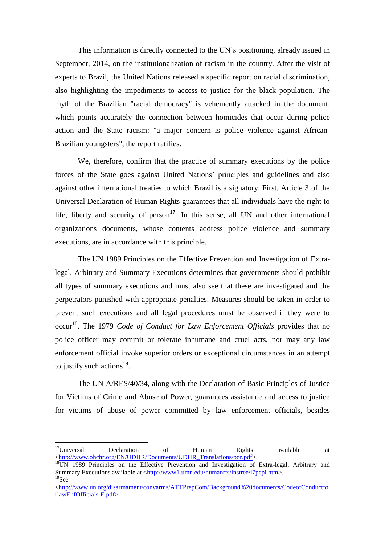This information is directly connected to the UN's positioning, already issued in September, 2014, on the institutionalization of racism in the country. After the visit of experts to Brazil, the United Nations released a specific report on racial discrimination, also highlighting the impediments to access to justice for the black population. The myth of the Brazilian "racial democracy" is vehemently attacked in the document, which points accurately the connection between homicides that occur during police action and the State racism: "a major concern is police violence against African-Brazilian youngsters", the report ratifies.

We, therefore, confirm that the practice of summary executions by the police forces of the State goes against United Nations' principles and guidelines and also against other international treaties to which Brazil is a signatory. First, Article 3 of the Universal Declaration of Human Rights guarantees that all individuals have the right to life, liberty and security of person<sup>17</sup>. In this sense, all UN and other international organizations documents, whose contents address police violence and summary executions, are in accordance with this principle.

The UN 1989 Principles on the Effective Prevention and Investigation of Extralegal, Arbitrary and Summary Executions determines that governments should prohibit all types of summary executions and must also see that these are investigated and the perpetrators punished with appropriate penalties. Measures should be taken in order to prevent such executions and all legal procedures must be observed if they were to occur<sup>18</sup>. The 1979 *Code of Conduct for Law Enforcement Officials* provides that no police officer may commit or tolerate inhumane and cruel acts, nor may any law enforcement official invoke superior orders or exceptional circumstances in an attempt to justify such actions<sup>19</sup>.

The UN A/RES/40/34, along with the Declaration of Basic Principles of Justice for Victims of Crime and Abuse of Power, guarantees assistance and access to justice for victims of abuse of power committed by law enforcement officials, besides

<sup>&</sup>lt;sup>17</sup>Universal Declaration of Human Rights available at [<http://www.ohchr.org/EN/UDHR/Documents/UDHR\\_Translations/por.pdf>](http://www.ohchr.org/EN/UDHR/Documents/UDHR_Translations/por.pdf).

<sup>&</sup>lt;sup>18</sup>UN 1989 Principles on the Effective Prevention and Investigation of Extra-legal, Arbitrary and Summary Executions available at [<http://www1.umn.edu/humanrts/instree/i7pepi.htm>](http://www1.umn.edu/humanrts/instree/i7pepi.htm).  $19$ See

[<sup>&</sup>lt;http://www.un.org/disarmament/convarms/ATTPrepCom/Background%20documents/CodeofConductfo](http://www.un.org/disarmament/convarms/ATTPrepCom/Background%20documents/CodeofConductforlawEnfOfficials-E.pdf) [rlawEnfOfficials-E.pdf>](http://www.un.org/disarmament/convarms/ATTPrepCom/Background%20documents/CodeofConductforlawEnfOfficials-E.pdf).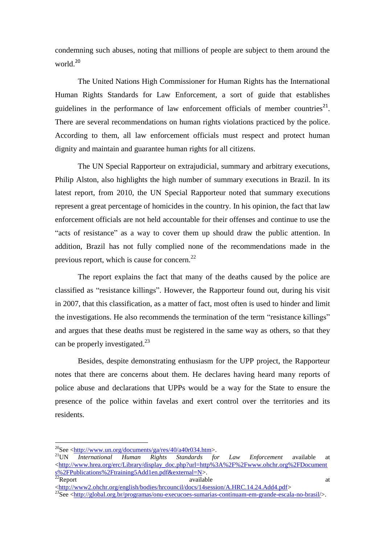condemning such abuses, noting that millions of people are subject to them around the world<sup>20</sup>

The United Nations High Commissioner for Human Rights has the International Human Rights Standards for Law Enforcement, a sort of guide that establishes guidelines in the performance of law enforcement officials of member countries<sup>21</sup>. There are several recommendations on human rights violations practiced by the police. According to them, all law enforcement officials must respect and protect human dignity and maintain and guarantee human rights for all citizens.

The UN Special Rapporteur on extrajudicial, summary and arbitrary executions, Philip Alston, also highlights the high number of summary executions in Brazil. In its latest report, from 2010, the UN Special Rapporteur noted that summary executions represent a great percentage of homicides in the country. In his opinion, the fact that law enforcement officials are not held accountable for their offenses and continue to use the "acts of resistance" as a way to cover them up should draw the public attention. In addition, Brazil has not fully complied none of the recommendations made in the previous report, which is cause for concern.<sup>22</sup>

The report explains the fact that many of the deaths caused by the police are classified as "resistance killings". However, the Rapporteur found out, during his visit in 2007, that this classification, as a matter of fact, most often is used to hinder and limit the investigations. He also recommends the termination of the term "resistance killings" and argues that these deaths must be registered in the same way as others, so that they can be properly investigated.<sup>23</sup>

Besides, despite demonstrating enthusiasm for the UPP project, the Rapporteur notes that there are concerns about them. He declares having heard many reports of police abuse and declarations that UPPs would be a way for the State to ensure the presence of the police within favelas and exert control over the territories and its residents.

 $^{20}$ See [<http://www.un.org/documents/ga/res/40/a40r034.htm>](http://www.un.org/documents/ga/res/40/a40r034.htm).

<sup>&</sup>lt;sup>21</sup>UN *International Human Rights Standards for Law Enforcement* available at [<http://www.hrea.org/erc/Library/display\\_doc.php?url=http%3A%2F%2Fwww.ohchr.org%2FDocument](http://www.hrea.org/erc/Library/display_doc.php?url=http%3A%2F%2Fwww.ohchr.org%2FDocuments%2FPublications%2Ftraining5Add1en.pdf&external=N) [s%2FPublications%2Ftraining5Add1en.pdf&external=N>](http://www.hrea.org/erc/Library/display_doc.php?url=http%3A%2F%2Fwww.ohchr.org%2FDocuments%2FPublications%2Ftraining5Add1en.pdf&external=N).<br><sup>22</sup>Report available  $22$ Report available available available at  $\alpha$ 

<sup>&</sup>lt;sup>23</sup>See [<http://global.org.br/programas/onu-execucoes-sumarias-continuam-em-grande-escala-no-brasil/>](http://global.org.br/programas/onu-execucoes-sumarias-continuam-em-grande-escala-no-brasil/).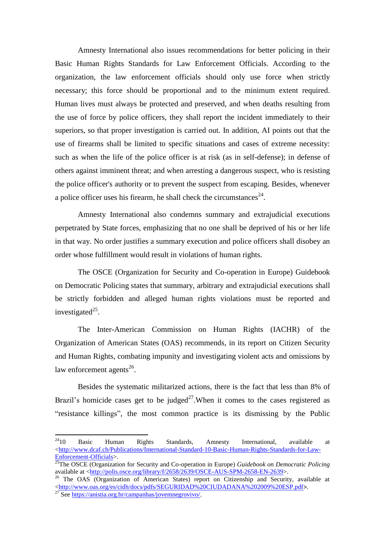Amnesty International also issues recommendations for better policing in their Basic Human Rights Standards for Law Enforcement Officials. According to the organization, the law enforcement officials should only use force when strictly necessary; this force should be proportional and to the minimum extent required. Human lives must always be protected and preserved, and when deaths resulting from the use of force by police officers, they shall report the incident immediately to their superiors, so that proper investigation is carried out. In addition, AI points out that the use of firearms shall be limited to specific situations and cases of extreme necessity: such as when the life of the police officer is at risk (as in self-defense); in defense of others against imminent threat; and when arresting a dangerous suspect, who is resisting the police officer's authority or to prevent the suspect from escaping. Besides, whenever a police officer uses his firearm, he shall check the circumstances $^{24}$ .

Amnesty International also condemns summary and extrajudicial executions perpetrated by State forces, emphasizing that no one shall be deprived of his or her life in that way. No order justifies a summary execution and police officers shall disobey an order whose fulfillment would result in violations of human rights.

The OSCE (Organization for Security and Co-operation in Europe) Guidebook on Democratic Policing states that summary, arbitrary and extrajudicial executions shall be strictly forbidden and alleged human rights violations must be reported and investigated $^{25}$ .

The Inter-American Commission on Human Rights (IACHR) of the Organization of American States (OAS) recommends, in its report on Citizen Security and Human Rights, combating impunity and investigating violent acts and omissions by law enforcement agents<sup>26</sup>.

Besides the systematic militarized actions, there is the fact that less than 8% of Brazil's homicide cases get to be judged<sup>27</sup>. When it comes to the cases registered as "resistance killings", the most common practice is its dismissing by the Public

 $^{24}10$ <sup>24</sup>10 Basic Human Rights Standards, Amnesty International, available at [<http://www.dcaf.ch/Publications/International-Standard-10-Basic-Human-Rights-Standards-for-Law-](http://www.dcaf.ch/Publications/International-Standard-10-Basic-Human-Rights-Standards-for-Law-Enforcement-Officials)[Enforcement-Officials>](http://www.dcaf.ch/Publications/International-Standard-10-Basic-Human-Rights-Standards-for-Law-Enforcement-Officials).

<sup>&</sup>lt;sup>25</sup>The OSCE (Organization for Security and Co-operation in Europe) *Guidebook on Democratic Policing* available at [<http://polis.osce.org/library/f/2658/2639/OSCE-AUS-SPM-2658-EN-2639>](http://polis.osce.org/library/f/2658/2639/OSCE-AUS-SPM-2658-EN-2639).

 $26$  The OAS (Organization of American States) report on Citizenship and Security, available at [<http://www.oas.org/es/cidh/docs/pdfs/SEGURIDAD%20CIUDADANA%202009%20ESP.pdf](http://www.oas.org/es/cidh/docs/pdfs/SEGURIDAD%20CIUDADANA%202009%20ESP.pdf)>. <sup>27</sup> See [https://anistia.org.br/campanhas/jovemnegrovivo/.](https://anistia.org.br/campanhas/jovemnegrovivo/)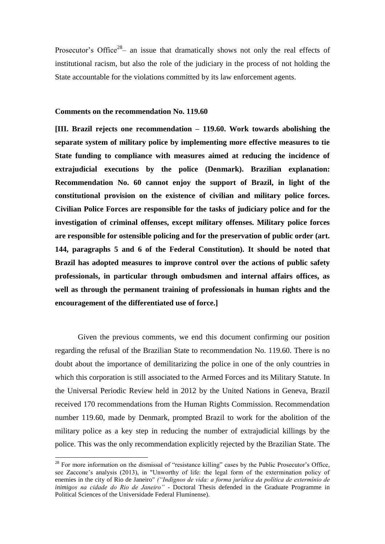Prosecutor's Office<sup>28</sup>- an issue that dramatically shows not only the real effects of institutional racism, but also the role of the judiciary in the process of not holding the State accountable for the violations committed by its law enforcement agents.

### **Comments on the recommendation No. 119.60**

**[III. Brazil rejects one recommendation – 119.60. Work towards abolishing the separate system of military police by implementing more effective measures to tie State funding to compliance with measures aimed at reducing the incidence of extrajudicial executions by the police (Denmark). Brazilian explanation: Recommendation No. 60 cannot enjoy the support of Brazil, in light of the constitutional provision on the existence of civilian and military police forces. Civilian Police Forces are responsible for the tasks of judiciary police and for the investigation of criminal offenses, except military offenses. Military police forces are responsible for ostensible policing and for the preservation of public order (art. 144, paragraphs 5 and 6 of the Federal Constitution). It should be noted that Brazil has adopted measures to improve control over the actions of public safety professionals, in particular through ombudsmen and internal affairs offices, as well as through the permanent training of professionals in human rights and the encouragement of the differentiated use of force.]**

Given the previous comments, we end this document confirming our position regarding the refusal of the Brazilian State to recommendation No. 119.60. There is no doubt about the importance of demilitarizing the police in one of the only countries in which this corporation is still associated to the Armed Forces and its Military Statute. In the Universal Periodic Review held in 2012 by the United Nations in Geneva, Brazil received 170 recommendations from the Human Rights Commission. Recommendation number 119.60, made by Denmark, prompted Brazil to work for the abolition of the military police as a key step in reducing the number of extrajudicial killings by the police. This was the only recommendation explicitly rejected by the Brazilian State. The

 $28$  For more information on the dismissal of "resistance killing" cases by the Public Prosecutor's Office, see Zaccone's analysis (2013), in "Unworthy of life: the legal form of the extermination policy of enemies in the city of Rio de Janeiro" *("Indignos de vida: a forma jurídica da política de extermínio de inimigos na cidade do Rio de Janeiro"* - Doctoral Thesis defended in the Graduate Programme in Political Sciences of the Universidade Federal Fluminense).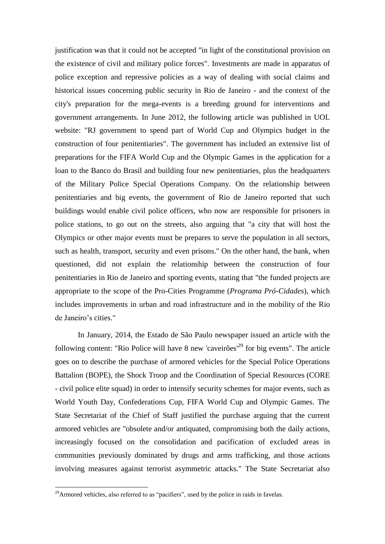justification was that it could not be accepted "in light of the constitutional provision on the existence of civil and military police forces". Investments are made in apparatus of police exception and repressive policies as a way of dealing with social claims and historical issues concerning public security in Rio de Janeiro - and the context of the city's preparation for the mega-events is a breeding ground for interventions and government arrangements. In June 2012, the following article was published in UOL website: "RJ government to spend part of World Cup and Olympics budget in the construction of four penitentiaries". The government has included an extensive list of preparations for the FIFA World Cup and the Olympic Games in the application for a loan to the Banco do Brasil and building four new penitentiaries, plus the headquarters of the Military Police Special Operations Company. On the relationship between penitentiaries and big events, the government of Rio de Janeiro reported that such buildings would enable civil police officers, who now are responsible for prisoners in police stations, to go out on the streets, also arguing that "a city that will host the Olympics or other major events must be prepares to serve the population in all sectors, such as health, transport, security and even prisons." On the other hand, the bank, when questioned, did not explain the relationship between the construction of four penitentiaries in Rio de Janeiro and sporting events, stating that "the funded projects are appropriate to the scope of the Pro-Cities Programme (*Programa Pró-Cidades*), which includes improvements in urban and road infrastructure and in the mobility of the Rio de Janeiro's cities."

In January, 2014, the Estado de São Paulo newspaper issued an article with the following content: "Rio Police will have 8 new 'caveirões<sup>'29</sup> for big events". The article goes on to describe the purchase of armored vehicles for the Special Police Operations Battalion (BOPE), the Shock Troop and the Coordination of Special Resources (CORE - civil police elite squad) in order to intensify security schemes for major events, such as World Youth Day, Confederations Cup, FIFA World Cup and Olympic Games. The State Secretariat of the Chief of Staff justified the purchase arguing that the current armored vehicles are "obsolete and/or antiquated, compromising both the daily actions, increasingly focused on the consolidation and pacification of excluded areas in communities previously dominated by drugs and arms trafficking, and those actions involving measures against terrorist asymmetric attacks." The State Secretariat also

 $^{29}$ Armored vehicles, also referred to as "pacifiers", used by the police in raids in favelas.